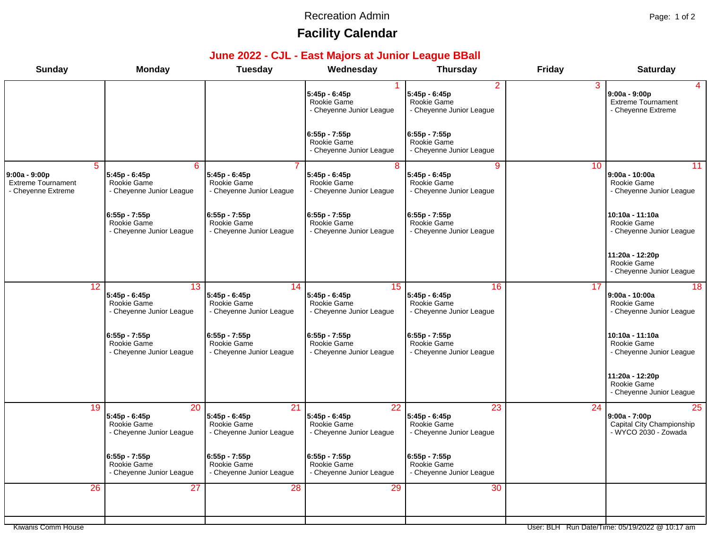#### Recreation Admin **Page: 1 of 2**

# **Facility Calendar**

### **June 2022 - CJL - East Majors at Junior League BBall**

| <b>Sunday</b>                                                                      | <b>Monday</b>                                                  | <b>Tuesday</b>                                                              | Wednesday                                                                  | <b>Thursday</b>                                                  | <b>Friday</b> | <b>Saturday</b>                                                            |
|------------------------------------------------------------------------------------|----------------------------------------------------------------|-----------------------------------------------------------------------------|----------------------------------------------------------------------------|------------------------------------------------------------------|---------------|----------------------------------------------------------------------------|
|                                                                                    |                                                                |                                                                             | 5:45p - 6:45p<br>Rookie Game<br>- Cheyenne Junior League                   | 2<br>5:45p - 6:45p<br>Rookie Game<br>- Cheyenne Junior League    | 3             | $9:00a - 9:00p$<br><b>Extreme Tournament</b><br>- Cheyenne Extreme         |
|                                                                                    |                                                                |                                                                             | $6:55p - 7:55p$<br>Rookie Game<br>- Cheyenne Junior League                 | $6:55p - 7:55p$<br>Rookie Game<br>- Cheyenne Junior League       |               |                                                                            |
| $\overline{5}$<br>9:00a - 9:00p<br><b>Extreme Tournament</b><br>- Cheyenne Extreme | 6<br>5:45p - 6:45p<br>Rookie Game<br>- Cheyenne Junior League  | 5:45p - 6:45p<br>Rookie Game<br>- Cheyenne Junior League                    | $\overline{8}$<br>5:45p - 6:45p<br>Rookie Game<br>- Cheyenne Junior League | 9<br>5:45p - 6:45p<br>Rookie Game<br>- Cheyenne Junior League    | 10            | 11<br>$9:00a - 10:00a$<br>Rookie Game<br>- Cheyenne Junior League          |
|                                                                                    | 6:55p - 7:55p<br>Rookie Game<br>- Cheyenne Junior League       | 6:55p - 7:55p<br>Rookie Game<br>- Cheyenne Junior League                    | $6:55p - 7:55p$<br>Rookie Game<br>- Cheyenne Junior League                 | $6:55p - 7:55p$<br>Rookie Game<br>- Cheyenne Junior League       |               | 10:10a - 11:10a<br>Rookie Game<br>- Cheyenne Junior League                 |
|                                                                                    |                                                                |                                                                             |                                                                            |                                                                  |               | 11:20a - 12:20p<br>Rookie Game<br>- Cheyenne Junior League                 |
| 12                                                                                 | 13<br>5:45p - 6:45p<br>Rookie Game<br>- Cheyenne Junior League | 14<br>$5:45p - 6:45p$<br>Rookie Game<br>- Cheyenne Junior League            | 15<br>5:45p - 6:45p<br>Rookie Game<br>- Cheyenne Junior League             | 16<br>$5:45p - 6:45p$<br>Rookie Game<br>- Cheyenne Junior League | 17            | 18<br>$9:00a - 10:00a$<br>Rookie Game<br>- Cheyenne Junior League          |
|                                                                                    | $6:55p - 7:55p$<br>Rookie Game<br>- Cheyenne Junior League     | 6:55p - 7:55p<br>Rookie Game<br>- Cheyenne Junior League                    | $6:55p - 7:55p$<br>Rookie Game<br>- Cheyenne Junior League                 | $6:55p - 7:55p$<br>Rookie Game<br>- Cheyenne Junior League       |               | 10:10a - 11:10a<br>Rookie Game<br>- Cheyenne Junior League                 |
|                                                                                    |                                                                |                                                                             |                                                                            |                                                                  |               | 11:20a - 12:20p<br>Rookie Game<br>- Cheyenne Junior League                 |
| 19                                                                                 | 20<br>5:45p - 6:45p<br>Rookie Game<br>- Cheyenne Junior League | $\overline{21}$<br>5:45p - 6:45p<br>Rookie Game<br>- Cheyenne Junior League | 22<br>5:45p - 6:45p<br>Rookie Game<br>- Cheyenne Junior League             | 23<br>$5:45p - 6:45p$<br>Rookie Game<br>- Cheyenne Junior League | 24            | 25<br>$9:00a - 7:00p$<br>Capital City Championship<br>- WYCO 2030 - Zowada |
|                                                                                    | $6:55p - 7:55p$<br>Rookie Game<br>- Cheyenne Junior League     | $6:55p - 7:55p$<br>Rookie Game<br>- Cheyenne Junior League                  | $6:55p - 7:55p$<br>Rookie Game<br>- Cheyenne Junior League                 | $6:55p - 7:55p$<br>Rookie Game<br>- Cheyenne Junior League       |               |                                                                            |
| 26                                                                                 | 27                                                             | 28                                                                          | 29                                                                         | 30                                                               |               |                                                                            |
|                                                                                    |                                                                |                                                                             |                                                                            |                                                                  |               |                                                                            |

Kiwanis Comm House User: BLH Run Date/Time: 05/19/2022 @ 10:17 am